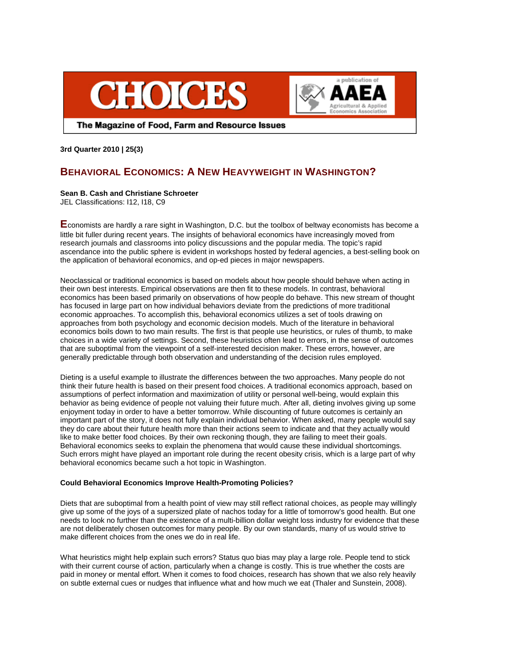



The Magazine of Food, Farm and Resource Issues

**3rd Quarter 2010 | 25(3)** 

# **BEHAVIORAL ECONOMICS: A NEW HEAVYWEIGHT IN WASHINGTON?**

### **Sean B. Cash and Christiane Schroeter**

JEL Classifications: I12, I18, C9

**E**conomists are hardly a rare sight in Washington, D.C. but the toolbox of beltway economists has become a little bit fuller during recent years. The insights of behavioral economics have increasingly moved from research journals and classrooms into policy discussions and the popular media. The topic's rapid ascendance into the public sphere is evident in workshops hosted by federal agencies, a best-selling book on the application of behavioral economics, and op-ed pieces in major newspapers.

Neoclassical or traditional economics is based on models about how people should behave when acting in their own best interests. Empirical observations are then fit to these models. In contrast, behavioral economics has been based primarily on observations of how people do behave. This new stream of thought has focused in large part on how individual behaviors deviate from the predictions of more traditional economic approaches. To accomplish this, behavioral economics utilizes a set of tools drawing on approaches from both psychology and economic decision models. Much of the literature in behavioral economics boils down to two main results. The first is that people use heuristics, or rules of thumb, to make choices in a wide variety of settings. Second, these heuristics often lead to errors, in the sense of outcomes that are suboptimal from the viewpoint of a self-interested decision maker. These errors, however, are generally predictable through both observation and understanding of the decision rules employed.

Dieting is a useful example to illustrate the differences between the two approaches. Many people do not think their future health is based on their present food choices. A traditional economics approach, based on assumptions of perfect information and maximization of utility or personal well-being, would explain this behavior as being evidence of people not valuing their future much. After all, dieting involves giving up some enjoyment today in order to have a better tomorrow. While discounting of future outcomes is certainly an important part of the story, it does not fully explain individual behavior. When asked, many people would say they do care about their future health more than their actions seem to indicate and that they actually would like to make better food choices. By their own reckoning though, they are failing to meet their goals. Behavioral economics seeks to explain the phenomena that would cause these individual shortcomings. Such errors might have played an important role during the recent obesity crisis, which is a large part of why behavioral economics became such a hot topic in Washington.

# **Could Behavioral Economics Improve Health-Promoting Policies?**

Diets that are suboptimal from a health point of view may still reflect rational choices, as people may willingly give up some of the joys of a supersized plate of nachos today for a little of tomorrow's good health. But one needs to look no further than the existence of a multi-billion dollar weight loss industry for evidence that these are not deliberately chosen outcomes for many people. By our own standards, many of us would strive to make different choices from the ones we do in real life.

What heuristics might help explain such errors? Status quo bias may play a large role. People tend to stick with their current course of action, particularly when a change is costly. This is true whether the costs are paid in money or mental effort. When it comes to food choices, research has shown that we also rely heavily on subtle external cues or nudges that influence what and how much we eat (Thaler and Sunstein, 2008).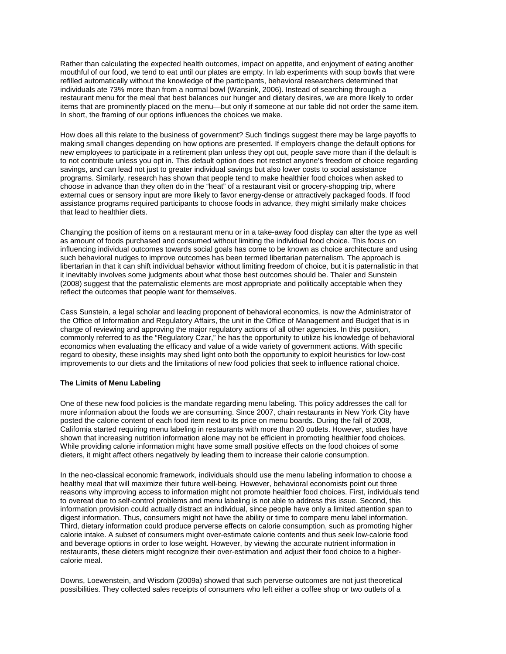Rather than calculating the expected health outcomes, impact on appetite, and enjoyment of eating another mouthful of our food, we tend to eat until our plates are empty. In lab experiments with soup bowls that were refilled automatically without the knowledge of the participants, behavioral researchers determined that individuals ate 73% more than from a normal bowl (Wansink, 2006). Instead of searching through a restaurant menu for the meal that best balances our hunger and dietary desires, we are more likely to order items that are prominently placed on the menu—but only if someone at our table did not order the same item. In short, the framing of our options influences the choices we make.

How does all this relate to the business of government? Such findings suggest there may be large payoffs to making small changes depending on how options are presented. If employers change the default options for new employees to participate in a retirement plan unless they opt out, people save more than if the default is to not contribute unless you opt in. This default option does not restrict anyone's freedom of choice regarding savings, and can lead not just to greater individual savings but also lower costs to social assistance programs. Similarly, research has shown that people tend to make healthier food choices when asked to choose in advance than they often do in the "heat" of a restaurant visit or grocery-shopping trip, where external cues or sensory input are more likely to favor energy-dense or attractively packaged foods. If food assistance programs required participants to choose foods in advance, they might similarly make choices that lead to healthier diets.

Changing the position of items on a restaurant menu or in a take-away food display can alter the type as well as amount of foods purchased and consumed without limiting the individual food choice. This focus on influencing individual outcomes towards social goals has come to be known as choice architecture and using such behavioral nudges to improve outcomes has been termed libertarian paternalism*.* The approach is libertarian in that it can shift individual behavior without limiting freedom of choice, but it is paternalistic in that it inevitably involves some judgments about what those best outcomes should be. Thaler and Sunstein (2008) suggest that the paternalistic elements are most appropriate and politically acceptable when they reflect the outcomes that people want for themselves.

Cass Sunstein, a legal scholar and leading proponent of behavioral economics, is now the Administrator of the Office of Information and Regulatory Affairs, the unit in the Office of Management and Budget that is in charge of reviewing and approving the major regulatory actions of all other agencies. In this position, commonly referred to as the "Regulatory Czar," he has the opportunity to utilize his knowledge of behavioral economics when evaluating the efficacy and value of a wide variety of government actions. With specific regard to obesity, these insights may shed light onto both the opportunity to exploit heuristics for low-cost improvements to our diets and the limitations of new food policies that seek to influence rational choice.

### **The Limits of Menu Labeling**

One of these new food policies is the mandate regarding menu labeling. This policy addresses the call for more information about the foods we are consuming. Since 2007, chain restaurants in New York City have posted the calorie content of each food item next to its price on menu boards. During the fall of 2008, California started requiring menu labeling in restaurants with more than 20 outlets. However, studies have shown that increasing nutrition information alone may not be efficient in promoting healthier food choices. While providing calorie information might have some small positive effects on the food choices of some dieters, it might affect others negatively by leading them to increase their calorie consumption.

In the neo-classical economic framework, individuals should use the menu labeling information to choose a healthy meal that will maximize their future well-being. However, behavioral economists point out three reasons why improving access to information might not promote healthier food choices. First, individuals tend to overeat due to self-control problems and menu labeling is not able to address this issue. Second, this information provision could actually distract an individual, since people have only a limited attention span to digest information. Thus, consumers might not have the ability or time to compare menu label information. Third, dietary information could produce perverse effects on calorie consumption, such as promoting higher calorie intake. A subset of consumers might over-estimate calorie contents and thus seek low-calorie food and beverage options in order to lose weight. However, by viewing the accurate nutrient information in restaurants, these dieters might recognize their over-estimation and adjust their food choice to a highercalorie meal.

Downs, Loewenstein, and Wisdom (2009a) showed that such perverse outcomes are not just theoretical possibilities. They collected sales receipts of consumers who left either a coffee shop or two outlets of a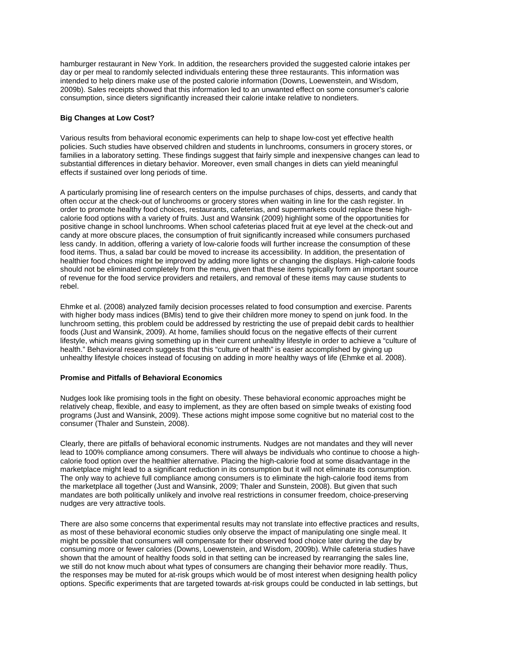hamburger restaurant in New York. In addition, the researchers provided the suggested calorie intakes per day or per meal to randomly selected individuals entering these three restaurants. This information was intended to help diners make use of the posted calorie information (Downs, Loewenstein, and Wisdom, 2009b). Sales receipts showed that this information led to an unwanted effect on some consumer's calorie consumption, since dieters significantly increased their calorie intake relative to nondieters.

#### **Big Changes at Low Cost?**

Various results from behavioral economic experiments can help to shape low-cost yet effective health policies. Such studies have observed children and students in lunchrooms, consumers in grocery stores, or families in a laboratory setting. These findings suggest that fairly simple and inexpensive changes can lead to substantial differences in dietary behavior. Moreover, even small changes in diets can yield meaningful effects if sustained over long periods of time.

A particularly promising line of research centers on the impulse purchases of chips, desserts, and candy that often occur at the check-out of lunchrooms or grocery stores when waiting in line for the cash register. In order to promote healthy food choices, restaurants, cafeterias, and supermarkets could replace these highcalorie food options with a variety of fruits. Just and Wansink (2009) highlight some of the opportunities for positive change in school lunchrooms. When school cafeterias placed fruit at eye level at the check-out and candy at more obscure places, the consumption of fruit significantly increased while consumers purchased less candy. In addition, offering a variety of low-calorie foods will further increase the consumption of these food items. Thus, a salad bar could be moved to increase its accessibility. In addition, the presentation of healthier food choices might be improved by adding more lights or changing the displays. High-calorie foods should not be eliminated completely from the menu, given that these items typically form an important source of revenue for the food service providers and retailers, and removal of these items may cause students to rebel.

Ehmke et al. (2008) analyzed family decision processes related to food consumption and exercise. Parents with higher body mass indices (BMIs) tend to give their children more money to spend on junk food. In the lunchroom setting, this problem could be addressed by restricting the use of prepaid debit cards to healthier foods (Just and Wansink, 2009). At home, families should focus on the negative effects of their current lifestyle, which means giving something up in their current unhealthy lifestyle in order to achieve a "culture of health." Behavioral research suggests that this "culture of health" is easier accomplished by giving up unhealthy lifestyle choices instead of focusing on adding in more healthy ways of life (Ehmke et al. 2008).

## **Promise and Pitfalls of Behavioral Economics**

Nudges look like promising tools in the fight on obesity. These behavioral economic approaches might be relatively cheap, flexible, and easy to implement, as they are often based on simple tweaks of existing food programs (Just and Wansink, 2009). These actions might impose some cognitive but no material cost to the consumer (Thaler and Sunstein, 2008).

Clearly, there are pitfalls of behavioral economic instruments. Nudges are not mandates and they will never lead to 100% compliance among consumers. There will always be individuals who continue to choose a highcalorie food option over the healthier alternative. Placing the high-calorie food at some disadvantage in the marketplace might lead to a significant reduction in its consumption but it will not eliminate its consumption. The only way to achieve full compliance among consumers is to eliminate the high-calorie food items from the marketplace all together (Just and Wansink, 2009; Thaler and Sunstein, 2008). But given that such mandates are both politically unlikely and involve real restrictions in consumer freedom, choice-preserving nudges are very attractive tools.

There are also some concerns that experimental results may not translate into effective practices and results, as most of these behavioral economic studies only observe the impact of manipulating one single meal. It might be possible that consumers will compensate for their observed food choice later during the day by consuming more or fewer calories (Downs, Loewenstein, and Wisdom, 2009b). While cafeteria studies have shown that the amount of healthy foods sold in that setting can be increased by rearranging the sales line, we still do not know much about what types of consumers are changing their behavior more readily. Thus, the responses may be muted for at-risk groups which would be of most interest when designing health policy options. Specific experiments that are targeted towards at-risk groups could be conducted in lab settings, but